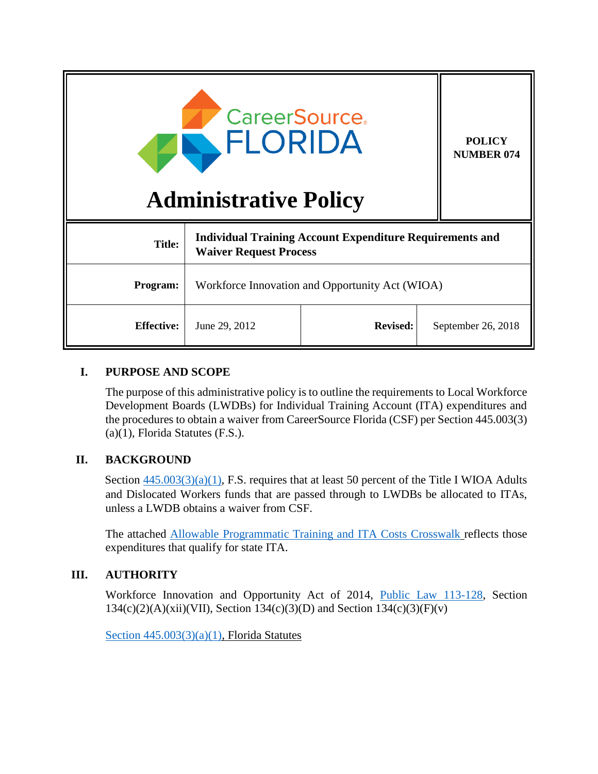| <b>CareerSource.</b><br>FLORIDA<br><b>Administrative Policy</b> |                                                                                                  |                 | <b>POLICY</b><br><b>NUMBER 074</b> |
|-----------------------------------------------------------------|--------------------------------------------------------------------------------------------------|-----------------|------------------------------------|
| <b>Title:</b>                                                   | <b>Individual Training Account Expenditure Requirements and</b><br><b>Waiver Request Process</b> |                 |                                    |
| Program:                                                        | Workforce Innovation and Opportunity Act (WIOA)                                                  |                 |                                    |
| <b>Effective:</b>                                               | June 29, 2012                                                                                    | <b>Revised:</b> | September 26, 2018                 |

#### **I. PURPOSE AND SCOPE**

The purpose of this administrative policy is to outline the requirements to Local Workforce Development Boards (LWDBs) for Individual Training Account (ITA) expenditures and the procedures to obtain a waiver from CareerSource Florida (CSF) per Section 445.003(3) (a)(1), Florida Statutes (F.S.).

# **II. BACKGROUND**

Section  $445.003(3)(a)(1)$ , F.S. requires that at least 50 percent of the Title I WIOA Adults and Dislocated Workers funds that are passed through to LWDBs be allocated to ITAs, unless a LWDB obtains a waiver from CSF.

The attached [Allowable Programmatic Training and ITA Costs Crosswalk](http://www.floridajobs.org/grants-management/grants-management/lwdb-grant-resources) reflects those expenditures that qualify for state ITA.

#### **III. AUTHORITY**

Workforce Innovation and Opportunity Act of 2014, [Public Law 113-128,](https://www.gpo.gov/fdsys/pkg/PLAW-113publ128/pdf/PLAW-113publ128.pdf) Section  $134(c)(2)(A)(xii)(VII)$ , Section  $134(c)(3)(D)$  and Section  $134(c)(3)(F)(v)$ 

Section  $445.003(3)(a)(1)$ , Florida Statutes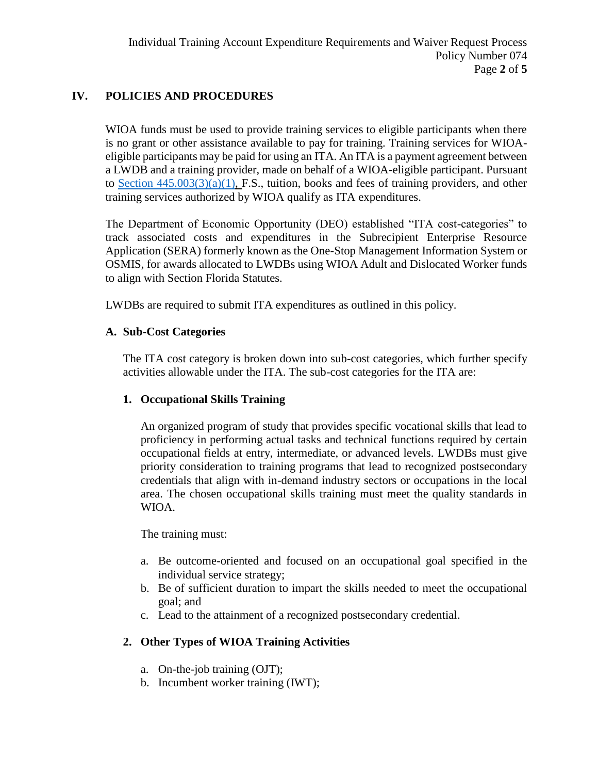## **IV. POLICIES AND PROCEDURES**

WIOA funds must be used to provide training services to eligible participants when there is no grant or other assistance available to pay for training. Training services for WIOAeligible participants may be paid for using an ITA. An ITA is a payment agreement between a LWDB and a training provider, made on behalf of a WIOA-eligible participant. Pursuant to Section  $445.003(3)(a)(1)$ , F.S., tuition, books and fees of training providers, and other training services authorized by WIOA qualify as ITA expenditures.

The Department of Economic Opportunity (DEO) established "ITA cost-categories" to track associated costs and expenditures in the Subrecipient Enterprise Resource Application (SERA) formerly known as the One-Stop Management Information System or OSMIS, for awards allocated to LWDBs using WIOA Adult and Dislocated Worker funds to align with Section Florida Statutes.

LWDBs are required to submit ITA expenditures as outlined in this policy.

#### **A. Sub-Cost Categories**

The ITA cost category is broken down into sub-cost categories, which further specify activities allowable under the ITA. The sub-cost categories for the ITA are:

#### **1. Occupational Skills Training**

An organized program of study that provides specific vocational skills that lead to proficiency in performing actual tasks and technical functions required by certain occupational fields at entry, intermediate, or advanced levels. LWDBs must give priority consideration to training programs that lead to recognized postsecondary credentials that align with in-demand industry sectors or occupations in the local area. The chosen occupational skills training must meet the quality standards in WIOA.

The training must:

- a. Be outcome-oriented and focused on an occupational goal specified in the individual service strategy;
- b. Be of sufficient duration to impart the skills needed to meet the occupational goal; and
- c. Lead to the attainment of a recognized postsecondary credential.

# **2. Other Types of WIOA Training Activities**

- a. On-the-job training (OJT);
- b. Incumbent worker training (IWT);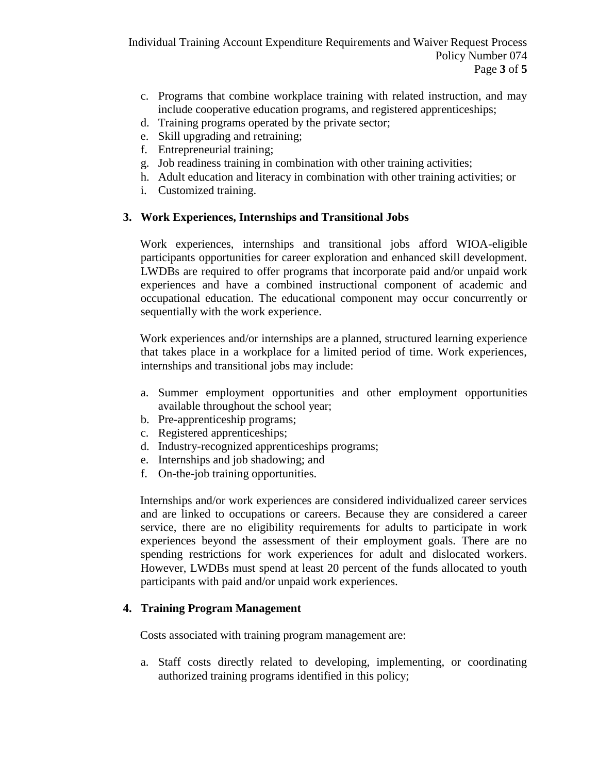- c. Programs that combine workplace training with related instruction, and may include cooperative education programs, and registered apprenticeships;
- d. Training programs operated by the private sector;
- e. Skill upgrading and retraining;
- f. Entrepreneurial training;
- g. Job readiness training in combination with other training activities;
- h. Adult education and literacy in combination with other training activities; or
- i. Customized training.

## **3. Work Experiences, Internships and Transitional Jobs**

Work experiences, internships and transitional jobs afford WIOA-eligible participants opportunities for career exploration and enhanced skill development. LWDBs are required to offer programs that incorporate paid and/or unpaid work experiences and have a combined instructional component of academic and occupational education. The educational component may occur concurrently or sequentially with the work experience.

Work experiences and/or internships are a planned, structured learning experience that takes place in a workplace for a limited period of time. Work experiences, internships and transitional jobs may include:

- a. Summer employment opportunities and other employment opportunities available throughout the school year;
- b. Pre-apprenticeship programs;
- c. Registered apprenticeships;
- d. Industry-recognized apprenticeships programs;
- e. Internships and job shadowing; and
- f. On-the-job training opportunities.

Internships and/or work experiences are considered individualized career services and are linked to occupations or careers. Because they are considered a career service, there are no eligibility requirements for adults to participate in work experiences beyond the assessment of their employment goals. There are no spending restrictions for work experiences for adult and dislocated workers. However, LWDBs must spend at least 20 percent of the funds allocated to youth participants with paid and/or unpaid work experiences.

#### **4. Training Program Management**

Costs associated with training program management are:

a. Staff costs directly related to developing, implementing, or coordinating authorized training programs identified in this policy;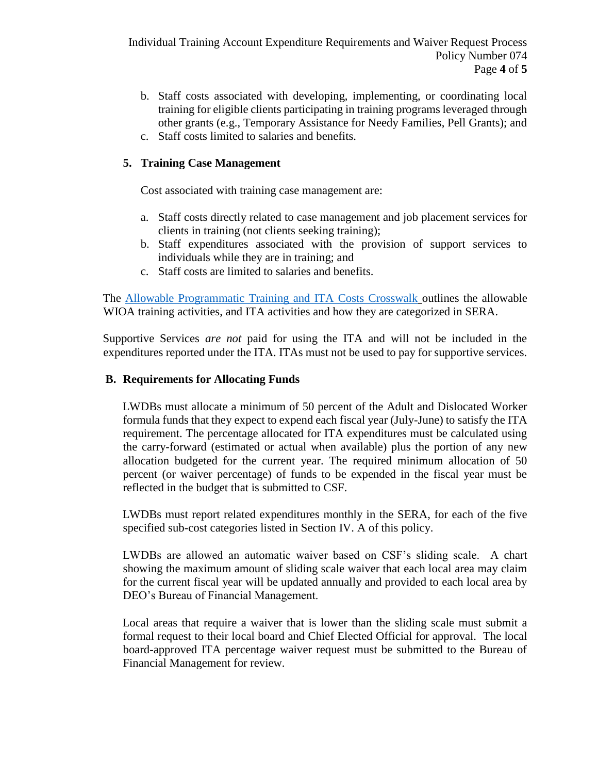- b. Staff costs associated with developing, implementing, or coordinating local training for eligible clients participating in training programs leveraged through other grants (e.g., Temporary Assistance for Needy Families, Pell Grants); and
- c. Staff costs limited to salaries and benefits.

### **5. Training Case Management**

Cost associated with training case management are:

- a. Staff costs directly related to case management and job placement services for clients in training (not clients seeking training);
- b. Staff expenditures associated with the provision of support services to individuals while they are in training; and
- c. Staff costs are limited to salaries and benefits.

The [Allowable Programmatic Training and ITA Costs Crosswalk](http://www.floridajobs.org/grants-management/grants-management/lwdb-grant-resources) outlines the allowable WIOA training activities, and ITA activities and how they are categorized in SERA.

Supportive Services *are not* paid for using the ITA and will not be included in the expenditures reported under the ITA. ITAs must not be used to pay for supportive services.

#### **B. Requirements for Allocating Funds**

LWDBs must allocate a minimum of 50 percent of the Adult and Dislocated Worker formula funds that they expect to expend each fiscal year (July-June) to satisfy the ITA requirement. The percentage allocated for ITA expenditures must be calculated using the carry-forward (estimated or actual when available) plus the portion of any new allocation budgeted for the current year. The required minimum allocation of 50 percent (or waiver percentage) of funds to be expended in the fiscal year must be reflected in the budget that is submitted to CSF.

LWDBs must report related expenditures monthly in the SERA, for each of the five specified sub-cost categories listed in Section IV. A of this policy.

LWDBs are allowed an automatic waiver based on CSF's sliding scale. A chart showing the maximum amount of sliding scale waiver that each local area may claim for the current fiscal year will be updated annually and provided to each local area by DEO's Bureau of Financial Management.

Local areas that require a waiver that is lower than the sliding scale must submit a formal request to their local board and Chief Elected Official for approval. The local board-approved ITA percentage waiver request must be submitted to the Bureau of Financial Management for review.